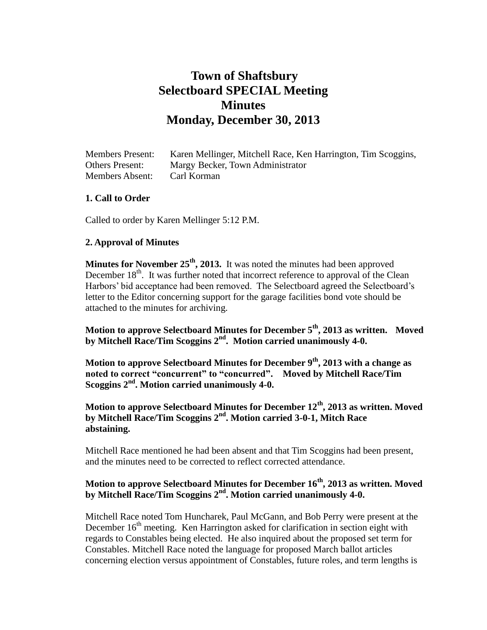# **Town of Shaftsbury Selectboard SPECIAL Meeting Minutes Monday, December 30, 2013**

| <b>Members Present:</b> | Karen Mellinger, Mitchell Race, Ken Harrington, Tim Scoggins, |
|-------------------------|---------------------------------------------------------------|
| <b>Others Present:</b>  | Margy Becker, Town Administrator                              |
| <b>Members Absent:</b>  | Carl Korman                                                   |

### **1. Call to Order**

Called to order by Karen Mellinger 5:12 P.M.

#### **2. Approval of Minutes**

**Minutes for November 25th , 2013.** It was noted the minutes had been approved December  $18<sup>th</sup>$ . It was further noted that incorrect reference to approval of the Clean Harbors' bid acceptance had been removed. The Selectboard agreed the Selectboard's letter to the Editor concerning support for the garage facilities bond vote should be attached to the minutes for archiving.

**Motion to approve Selectboard Minutes for December 5th, 2013 as written. Moved by Mitchell Race/Tim Scoggins 2nd . Motion carried unanimously 4-0.**

**Motion to approve Selectboard Minutes for December 9th, 2013 with a change as noted to correct "concurrent" to "concurred". Moved by Mitchell Race/Tim Scoggins 2nd. Motion carried unanimously 4-0.**

**Motion to approve Selectboard Minutes for December 12th , 2013 as written. Moved by Mitchell Race/Tim Scoggins 2nd. Motion carried 3-0-1, Mitch Race abstaining.**

Mitchell Race mentioned he had been absent and that Tim Scoggins had been present, and the minutes need to be corrected to reflect corrected attendance.

## **Motion to approve Selectboard Minutes for December 16th, 2013 as written. Moved by Mitchell Race/Tim Scoggins 2nd. Motion carried unanimously 4-0.**

Mitchell Race noted Tom Huncharek, Paul McGann, and Bob Perry were present at the December  $16<sup>th</sup>$  meeting. Ken Harrington asked for clarification in section eight with regards to Constables being elected. He also inquired about the proposed set term for Constables. Mitchell Race noted the language for proposed March ballot articles concerning election versus appointment of Constables, future roles, and term lengths is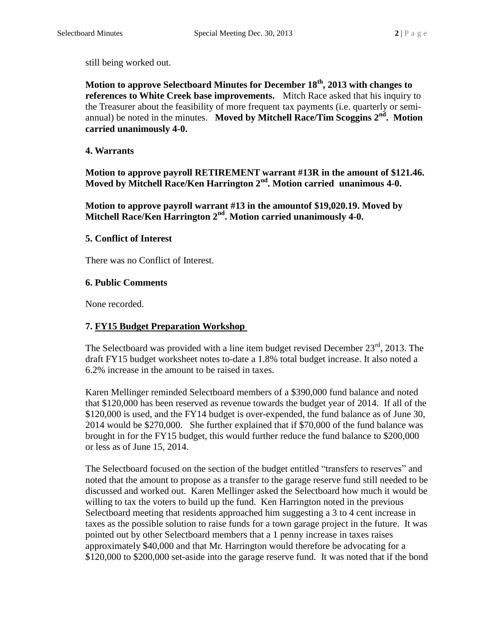still being worked out.

**Motion to approve Selectboard Minutes for December 18th, 2013 with changes to references to White Creek base improvements.** Mitch Race asked that his inquiry to the Treasurer about the feasibility of more frequent tax payments (i.e. quarterly or semiannual) be noted in the minutes. **Moved by Mitchell Race/Tim Scoggins 2nd . Motion carried unanimously 4-0.**

#### **4. Warrants**

**Motion to approve payroll RETIREMENT warrant #13R in the amount of \$121.46. Moved by Mitchell Race/Ken Harrington 2nd. Motion carried unanimous 4-0.**

**Motion to approve payroll warrant #13 in the amountof \$19,020.19. Moved by Mitchell Race/Ken Harrington 2nd. Motion carried unanimously 4-0.**

#### **5. Conflict of Interest**

There was no Conflict of Interest.

#### **6. Public Comments**

None recorded.

#### **7. FY15 Budget Preparation Workshop**

The Selectboard was provided with a line item budget revised December  $23<sup>rd</sup>$ , 2013. The draft FY15 budget worksheet notes to-date a 1.8% total budget increase. It also noted a 6.2% increase in the amount to be raised in taxes.

Karen Mellinger reminded Selectboard members of a \$390,000 fund balance and noted that \$120,000 has been reserved as revenue towards the budget year of 2014. If all of the \$120,000 is used, and the FY14 budget is over-expended, the fund balance as of June 30, 2014 would be \$270,000. She further explained that if \$70,000 of the fund balance was brought in for the FY15 budget, this would further reduce the fund balance to \$200,000 or less as of June 15, 2014.

The Selectboard focused on the section of the budget entitled "transfers to reserves" and noted that the amount to propose as a transfer to the garage reserve fund still needed to be discussed and worked out. Karen Mellinger asked the Selectboard how much it would be willing to tax the voters to build up the fund. Ken Harrington noted in the previous Selectboard meeting that residents approached him suggesting a 3 to 4 cent increase in taxes as the possible solution to raise funds for a town garage project in the future. It was pointed out by other Selectboard members that a 1 penny increase in taxes raises approximately \$40,000 and that Mr. Harrington would therefore be advocating for a \$120,000 to \$200,000 set-aside into the garage reserve fund. It was noted that if the bond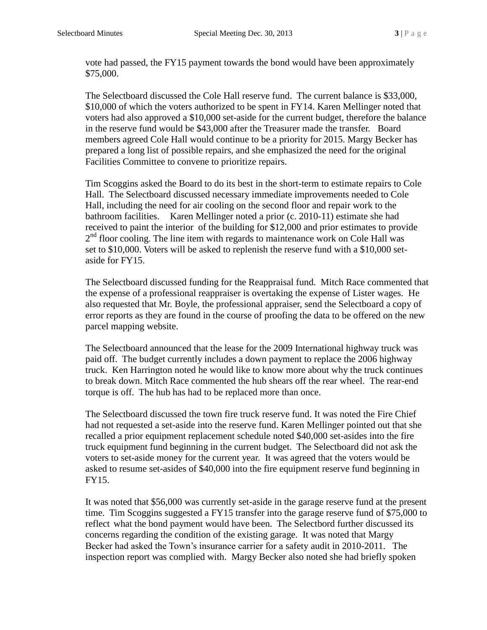vote had passed, the FY15 payment towards the bond would have been approximately \$75,000.

The Selectboard discussed the Cole Hall reserve fund. The current balance is \$33,000, \$10,000 of which the voters authorized to be spent in FY14. Karen Mellinger noted that voters had also approved a \$10,000 set-aside for the current budget, therefore the balance in the reserve fund would be \$43,000 after the Treasurer made the transfer. Board members agreed Cole Hall would continue to be a priority for 2015. Margy Becker has prepared a long list of possible repairs, and she emphasized the need for the original Facilities Committee to convene to prioritize repairs.

Tim Scoggins asked the Board to do its best in the short-term to estimate repairs to Cole Hall. The Selectboard discussed necessary immediate improvements needed to Cole Hall, including the need for air cooling on the second floor and repair work to the bathroom facilities. Karen Mellinger noted a prior (c. 2010-11) estimate she had received to paint the interior of the building for \$12,000 and prior estimates to provide  $2<sup>nd</sup>$  floor cooling. The line item with regards to maintenance work on Cole Hall was set to \$10,000. Voters will be asked to replenish the reserve fund with a \$10,000 setaside for FY15.

The Selectboard discussed funding for the Reappraisal fund. Mitch Race commented that the expense of a professional reappraiser is overtaking the expense of Lister wages. He also requested that Mr. Boyle, the professional appraiser, send the Selectboard a copy of error reports as they are found in the course of proofing the data to be offered on the new parcel mapping website.

The Selectboard announced that the lease for the 2009 International highway truck was paid off. The budget currently includes a down payment to replace the 2006 highway truck. Ken Harrington noted he would like to know more about why the truck continues to break down. Mitch Race commented the hub shears off the rear wheel. The rear-end torque is off. The hub has had to be replaced more than once.

The Selectboard discussed the town fire truck reserve fund. It was noted the Fire Chief had not requested a set-aside into the reserve fund. Karen Mellinger pointed out that she recalled a prior equipment replacement schedule noted \$40,000 set-asides into the fire truck equipment fund beginning in the current budget. The Selectboard did not ask the voters to set-aside money for the current year. It was agreed that the voters would be asked to resume set-asides of \$40,000 into the fire equipment reserve fund beginning in FY15.

It was noted that \$56,000 was currently set-aside in the garage reserve fund at the present time. Tim Scoggins suggested a FY15 transfer into the garage reserve fund of \$75,000 to reflect what the bond payment would have been. The Selectbord further discussed its concerns regarding the condition of the existing garage. It was noted that Margy Becker had asked the Town's insurance carrier for a safety audit in 2010-2011. The inspection report was complied with. Margy Becker also noted she had briefly spoken